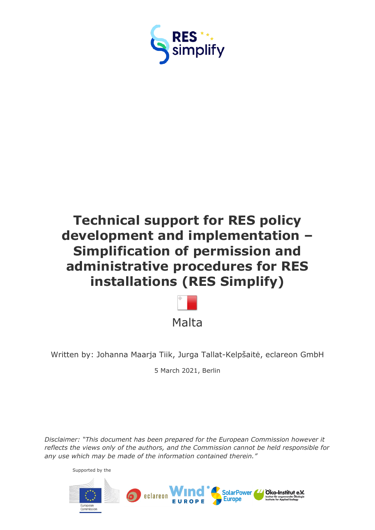

# **Technical support for RES policy development and implementation – Simplification of permission and administrative procedures for RES installations (RES Simplify)**



Written by: Johanna Maarja Tiik, Jurga Tallat-Kelpšaitė, eclareon GmbH

5 March 2021, Berlin

*Disclaimer: "This document has been prepared for the European Commission however it reflects the views only of the authors, and the Commission cannot be held responsible for any use which may be made of the information contained therein."*

Supported by the

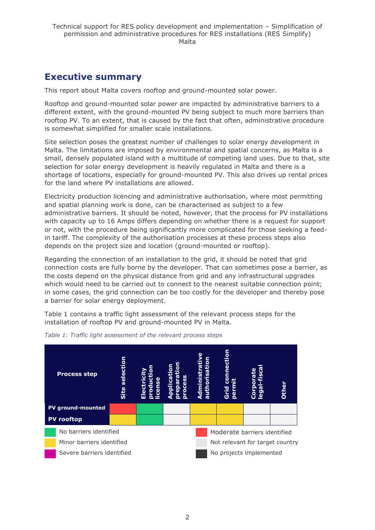# <span id="page-1-0"></span>**Executive summary**

This report about Malta covers rooftop and ground-mounted solar power.

Rooftop and ground-mounted solar power are impacted by administrative barriers to a different extent, with the ground-mounted PV being subject to much more barriers than rooftop PV. To an extent, that is caused by the fact that often, administrative procedure is somewhat simplified for smaller scale installations.

Site selection poses the greatest number of challenges to solar energy development in Malta. The limitations are imposed by environmental and spatial concerns, as Malta is a small, densely populated island with a multitude of competing land uses. Due to that, site selection for solar energy development is heavily regulated in Malta and there is a shortage of locations, especially for ground-mounted PV. This also drives up rental prices for the land where PV installations are allowed.

Electricity production licencing and administrative authorisation, where most permitting and spatial planning work is done, can be characterised as subject to a few administrative barriers. It should be noted, however, that the process for PV installations with capacity up to 16 Amps differs depending on whether there is a request for support or not, with the procedure being significantly more complicated for those seeking a feedin tariff. The complexity of the authorisation processes at these process steps also depends on the project size and location (ground-mounted or rooftop).

Regarding the connection of an installation to the grid, it should be noted that grid connection costs are fully borne by the developer. That can sometimes pose a barrier, as the costs depend on the physical distance from grid and any infrastructural upgrades which would need to be carried out to connect to the nearest suitable connection point; in some cases, the grid connection can be too costly for the developer and thereby pose a barrier for solar energy deployment.

Table 1 contains a traffic light assessment of the relevant process steps for the installation of rooftop PV and ground-mounted PV in Malta.



*Table 1: Traffic light assessment of the relevant process steps*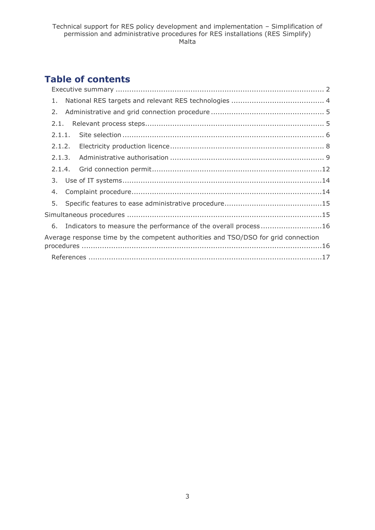# **Table of contents**

| 1.                                                                                 |  |
|------------------------------------------------------------------------------------|--|
| 2.                                                                                 |  |
| 2.1.                                                                               |  |
| 2.1.1.                                                                             |  |
| 2.1.2.                                                                             |  |
| 2.1.3.                                                                             |  |
| 2.1.4.                                                                             |  |
|                                                                                    |  |
| 4.                                                                                 |  |
|                                                                                    |  |
|                                                                                    |  |
| 6. Indicators to measure the performance of the overall process16                  |  |
| Average response time by the competent authorities and TSO/DSO for grid connection |  |
|                                                                                    |  |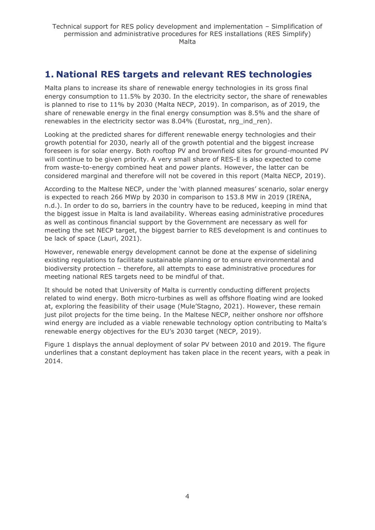# <span id="page-3-0"></span>**1. National RES targets and relevant RES technologies**

Malta plans to increase its share of renewable energy technologies in its gross final energy consumption to 11.5% by 2030. In the electricity sector, the share of renewables is planned to rise to 11% by 2030 (Malta NECP, 2019). In comparison, as of 2019, the share of renewable energy in the final energy consumption was 8.5% and the share of renewables in the electricity sector was 8.04% (Eurostat, nrg\_ind\_ren).

Looking at the predicted shares for different renewable energy technologies and their growth potential for 2030, nearly all of the growth potential and the biggest increase foreseen is for solar energy. Both rooftop PV and brownfield sites for ground-mounted PV will continue to be given priority. A very small share of RES-E is also expected to come from waste-to-energy combined heat and power plants. However, the latter can be considered marginal and therefore will not be covered in this report (Malta NECP, 2019).

According to the Maltese NECP, under the 'with planned measures' scenario, solar energy is expected to reach 266 MWp by 2030 in comparison to 153.8 MW in 2019 (IRENA, n.d.). In order to do so, barriers in the country have to be reduced, keeping in mind that the biggest issue in Malta is land availability. Whereas easing administrative procedures as well as continous financial support by the Government are necessary as well for meeting the set NECP target, the biggest barrier to RES development is and continues to be lack of space (Lauri, 2021).

However, renewable energy development cannot be done at the expense of sidelining existing regulations to facilitate sustainable planning or to ensure environmental and biodiversity protection – therefore, all attempts to ease administrative procedures for meeting national RES targets need to be mindful of that.

It should be noted that University of Malta is currently conducting different projects related to wind energy. Both micro-turbines as well as offshore floating wind are looked at, exploring the feasibility of their usage (Mule'Stagno, 2021). However, these remain just pilot projects for the time being. In the Maltese NECP, neither onshore nor offshore wind energy are included as a viable renewable technology option contributing to Malta's renewable energy objectives for the EU's 2030 target (NECP, 2019).

Figure 1 displays the annual deployment of solar PV between 2010 and 2019. The figure underlines that a constant deployment has taken place in the recent years, with a peak in 2014.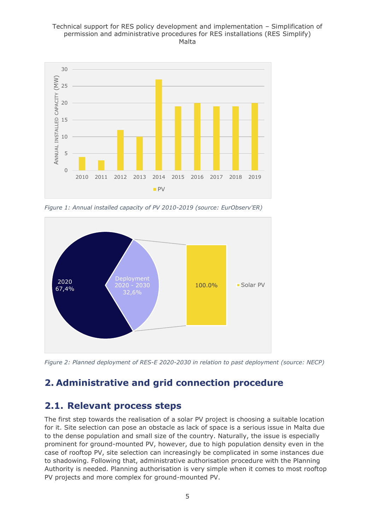#### Technical support for RES policy development and implementation – Simplification of permission and administrative procedures for RES installations (RES Simplify) Malta



*Figure 1: Annual installed capacity of PV 2010-2019 (source: EurObserv'ER)*



*Figure 2: Planned deployment of RES-E 2020-2030 in relation to past deployment (source: NECP)*

# <span id="page-4-0"></span>**2. Administrative and grid connection procedure**

# <span id="page-4-1"></span>**2.1. Relevant process steps**

The first step towards the realisation of a solar PV project is choosing a suitable location for it. Site selection can pose an obstacle as lack of space is a serious issue in Malta due to the dense population and small size of the country. Naturally, the issue is especially prominent for ground-mounted PV, however, due to high population density even in the case of rooftop PV, site selection can increasingly be complicated in some instances due to shadowing. Following that, administrative authorisation procedure with the Planning Authority is needed. Planning authorisation is very simple when it comes to most rooftop PV projects and more complex for ground-mounted PV.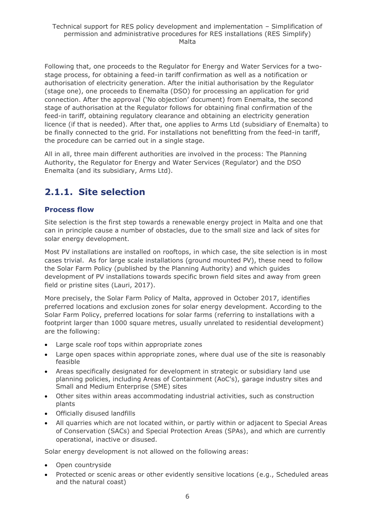Following that, one proceeds to the Regulator for Energy and Water Services for a twostage process, for obtaining a feed-in tariff confirmation as well as a notification or authorisation of electricity generation. After the initial authorisation by the Regulator (stage one), one proceeds to Enemalta (DSO) for processing an application for grid connection. After the approval ('No objection' document) from Enemalta, the second stage of authorisation at the Regulator follows for obtaining final confirmation of the feed-in tariff, obtaining regulatory clearance and obtaining an electricity generation licence (if that is needed). After that, one applies to Arms Ltd (subsidiary of Enemalta) to be finally connected to the grid. For installations not benefitting from the feed-in tariff, the procedure can be carried out in a single stage.

All in all, three main different authorities are involved in the process: The Planning Authority, the Regulator for Energy and Water Services (Regulator) and the DSO Enemalta (and its subsidiary, Arms Ltd).

# <span id="page-5-0"></span>**2.1.1. Site selection**

## **Process flow**

Site selection is the first step towards a renewable energy project in Malta and one that can in principle cause a number of obstacles, due to the small size and lack of sites for solar energy development.

Most PV installations are installed on rooftops, in which case, the site selection is in most cases trivial. As for large scale installations (ground mounted PV), these need to follow the Solar Farm Policy (published by the Planning Authority) and which guides development of PV installations towards specific brown field sites and away from green field or pristine sites (Lauri, 2017).

More precisely, the Solar Farm Policy of Malta, approved in October 2017, identifies preferred locations and exclusion zones for solar energy development. According to the Solar Farm Policy, preferred locations for solar farms (referring to installations with a footprint larger than 1000 square metres, usually unrelated to residential development) are the following:

- Large scale roof tops within appropriate zones
- Large open spaces within appropriate zones, where dual use of the site is reasonably feasible
- Areas specifically designated for development in strategic or subsidiary land use planning policies, including Areas of Containment (AoC's), garage industry sites and Small and Medium Enterprise (SME) sites
- Other sites within areas accommodating industrial activities, such as construction plants
- Officially disused landfills
- All quarries which are not located within, or partly within or adjacent to Special Areas of Conservation (SACs) and Special Protection Areas (SPAs), and which are currently operational, inactive or disused.

Solar energy development is not allowed on the following areas:

- Open countryside
- Protected or scenic areas or other evidently sensitive locations (e.g., Scheduled areas and the natural coast)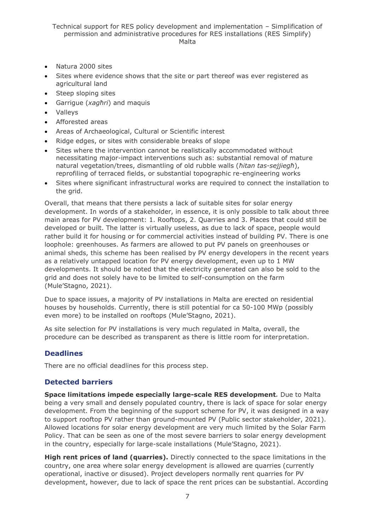#### Technical support for RES policy development and implementation – Simplification of permission and administrative procedures for RES installations (RES Simplify) Malta

- Natura 2000 sites
- Sites where evidence shows that the site or part thereof was ever registered as agricultural land
- Steep sloping sites
- Garrigue (*xagħri*) and maquis
- Valleys
- Afforested areas
- Areas of Archaeological, Cultural or Scientific interest
- Ridge edges, or sites with considerable breaks of slope
- Sites where the intervention cannot be realistically accommodated without necessitating major-impact interventions such as: substantial removal of mature natural vegetation/trees, dismantling of old rubble walls (*ħitan tas-sejjiegħ*), reprofiling of terraced fields, or substantial topographic re-engineering works
- Sites where significant infrastructural works are required to connect the installation to the grid.

Overall, that means that there persists a lack of suitable sites for solar energy development. In words of a stakeholder, in essence, it is only possible to talk about three main areas for PV development: 1. Rooftops, 2. Quarries and 3. Places that could still be developed or built. The latter is virtually useless, as due to lack of space, people would rather build it for housing or for commercial activities instead of building PV. There is one loophole: greenhouses. As farmers are allowed to put PV panels on greenhouses or animal sheds, this scheme has been realised by PV energy developers in the recent years as a relatively untapped location for PV energy development, even up to 1 MW developments. It should be noted that the electricity generated can also be sold to the grid and does not solely have to be limited to self-consumption on the farm (Mule'Stagno, 2021).

Due to space issues, a majority of PV installations in Malta are erected on residential houses by households. Currently, there is still potential for ca 50-100 MWp (possibly even more) to be installed on rooftops (Mule'Stagno, 2021).

As site selection for PV installations is very much regulated in Malta, overall, the procedure can be described as transparent as there is little room for interpretation.

#### **Deadlines**

There are no official deadlines for this process step.

#### **Detected barriers**

**Space limitations impede especially large-scale RES development***.* Due to Malta being a very small and densely populated country, there is lack of space for solar energy development. From the beginning of the support scheme for PV, it was designed in a way to support rooftop PV rather than ground-mounted PV (Public sector stakeholder, 2021). Allowed locations for solar energy development are very much limited by the Solar Farm Policy. That can be seen as one of the most severe barriers to solar energy development in the country, especially for large-scale installations (Mule'Stagno, 2021).

**High rent prices of land (quarries).** Directly connected to the space limitations in the country, one area where solar energy development is allowed are quarries (currently operational, inactive or disused). Project developers normally rent quarries for PV development, however, due to lack of space the rent prices can be substantial. According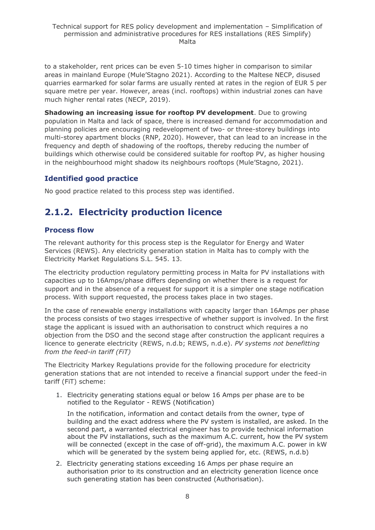to a stakeholder, rent prices can be even 5-10 times higher in comparison to similar areas in mainland Europe (Mule'Stagno 2021). According to the Maltese NECP, disused quarries earmarked for solar farms are usually rented at rates in the region of EUR 5 per square metre per year. However, areas (incl. rooftops) within industrial zones can have much higher rental rates (NECP, 2019).

**Shadowing an increasing issue for rooftop PV development**. Due to growing population in Malta and lack of space, there is increased demand for accommodation and planning policies are encouraging redevelopment of two- or three-storey buildings into multi-storey apartment blocks (RNP, 2020). However, that can lead to an increase in the frequency and depth of shadowing of the rooftops, thereby reducing the number of buildings which otherwise could be considered suitable for rooftop PV, as higher housing in the neighbourhood might shadow its neighbours rooftops (Mule'Stagno, 2021).

# **Identified good practice**

No good practice related to this process step was identified.

# <span id="page-7-0"></span>**2.1.2. Electricity production licence**

## **Process flow**

The relevant authority for this process step is the Regulator for Energy and Water Services (REWS). Any electricity generation station in Malta has to comply with the Electricity Market Regulations S.L. 545. 13.

The electricity production regulatory permitting process in Malta for PV installations with capacities up to 16Amps/phase differs depending on whether there is a request for support and in the absence of a request for support it is a simpler one stage notification process. With support requested, the process takes place in two stages.

In the case of renewable energy installations with capacity larger than 16Amps per phase the process consists of two stages irrespective of whether support is involved. In the first stage the applicant is issued with an authorisation to construct which requires a no objection from the DSO and the second stage after construction the applicant requires a licence to generate electricity (REWS, n.d.b; REWS, n.d.e). *PV systems not benefitting from the feed-in tariff (FiT)* 

The Electricity Markey Regulations provide for the following procedure for electricity generation stations that are not intended to receive a financial support under the feed-in tariff (FiT) scheme:

1. Electricity generating stations equal or below 16 Amps per phase are to be notified to the Regulator - REWS (Notification)

In the notification, information and contact details from the owner, type of building and the exact address where the PV system is installed, are asked. In the second part, a warranted electrical engineer has to provide technical information about the PV installations, such as the maximum A.C. current, how the PV system will be connected (except in the case of off-grid), the maximum A.C. power in kW which will be generated by the system being applied for, etc. (REWS, n.d.b)

2. Electricity generating stations exceeding 16 Amps per phase require an authorisation prior to its construction and an electricity generation licence once such generating station has been constructed (Authorisation).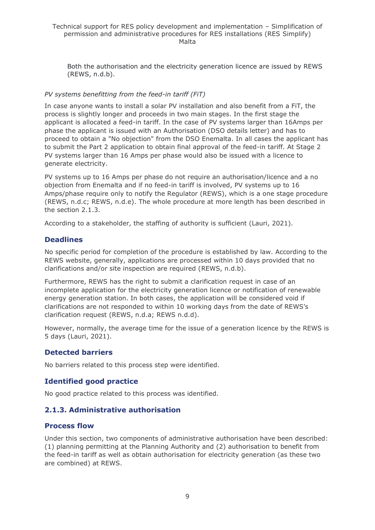Technical support for RES policy development and implementation – Simplification of permission and administrative procedures for RES installations (RES Simplify) Malta

Both the authorisation and the electricity generation licence are issued by REWS (REWS, n.d.b).

#### *PV systems benefitting from the feed-in tariff (FiT)*

In case anyone wants to install a solar PV installation and also benefit from a FiT, the process is slightly longer and proceeds in two main stages. In the first stage the applicant is allocated a feed-in tariff. In the case of PV systems larger than 16Amps per phase the applicant is issued with an Authorisation (DSO details letter) and has to proceed to obtain a "No objection" from the DSO Enemalta. In all cases the applicant has to submit the Part 2 application to obtain final approval of the feed-in tariff. At Stage 2 PV systems larger than 16 Amps per phase would also be issued with a licence to generate electricity.

PV systems up to 16 Amps per phase do not require an authorisation/licence and a no objection from Enemalta and if no feed-in tariff is involved, PV systems up to 16 Amps/phase require only to notify the Regulator (REWS), which is a one stage procedure (REWS, n.d.c; REWS, n.d.e). The whole procedure at more length has been described in the section 2.1.3.

According to a stakeholder, the staffing of authority is sufficient (Lauri, 2021).

### **Deadlines**

No specific period for completion of the procedure is established by law. According to the REWS website, generally, applications are processed within 10 days provided that no clarifications and/or site inspection are required (REWS, n.d.b).

Furthermore, REWS has the right to submit a clarification request in case of an incomplete application for the electricity generation licence or notification of renewable energy generation station. In both cases, the application will be considered void if clarifications are not responded to within 10 working days from the date of REWS's clarification request (REWS, n.d.a; REWS n.d.d).

However, normally, the average time for the issue of a generation licence by the REWS is 5 days (Lauri, 2021).

### **Detected barriers**

No barriers related to this process step were identified.

### **Identified good practice**

No good practice related to this process was identified.

### <span id="page-8-0"></span>**2.1.3. Administrative authorisation**

#### **Process flow**

Under this section, two components of administrative authorisation have been described: (1) planning permitting at the Planning Authority and (2) authorisation to benefit from the feed-in tariff as well as obtain authorisation for electricity generation (as these two are combined) at REWS.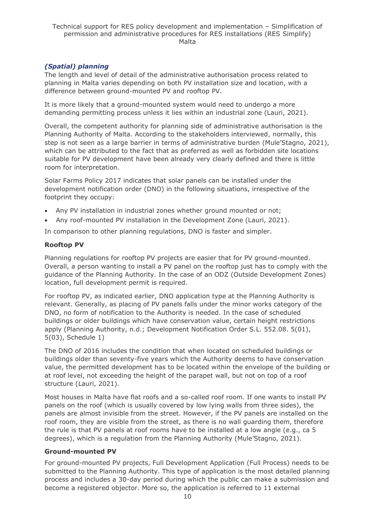## *(Spatial) planning*

The length and level of detail of the administrative authorisation process related to planning in Malta varies depending on both PV installation size and location, with a difference between ground-mounted PV and rooftop PV.

It is more likely that a ground-mounted system would need to undergo a more demanding permitting process unless it lies within an industrial zone (Lauri, 2021).

Overall, the competent authority for planning side of administrative authorisation is the Planning Authority of Malta. According to the stakeholders interviewed, normally, this step is not seen as a large barrier in terms of administrative burden (Mule'Stagno, 2021), which can be attributed to the fact that as preferred as well as forbidden site locations suitable for PV development have been already very clearly defined and there is little room for interpretation.

Solar Farms Policy 2017 indicates that solar panels can be installed under the development notification order (DNO) in the following situations, irrespective of the footprint they occupy:

- Any PV installation in industrial zones whether ground mounted or not;
- Any roof-mounted PV installation in the Development Zone (Lauri, 2021).

In comparison to other planning regulations, DNO is faster and simpler.

#### **Rooftop PV**

Planning regulations for rooftop PV projects are easier that for PV ground-mounted. Overall, a person wanting to install a PV panel on the rooftop just has to comply with the guidance of the Planning Authority. In the case of an ODZ (Outside Development Zones) location, full development permit is required.

For rooftop PV, as indicated earlier, DNO application type at the Planning Authority is relevant. Generally, as placing of PV panels falls under the minor works category of the DNO, no form of notification to the Authority is needed. In the case of scheduled buildings or older buildings which have conservation value, certain height restrictions apply (Planning Authority, n.d.; Development Notification Order S.L. 552.08. 5(01), 5(03), Schedule 1)

The DNO of 2016 includes the condition that when located on scheduled buildings or buildings older than seventy-five years which the Authority deems to have conservation value, the permitted development has to be located within the envelope of the building or at roof level, not exceeding the height of the parapet wall, but not on top of a roof structure (Lauri, 2021).

Most houses in Malta have flat roofs and a so-called roof room. If one wants to install PV panels on the roof (which is usually covered by low lying walls from three sides), the panels are almost invisible from the street. However, if the PV panels are installed on the roof room, they are visible from the street, as there is no wall guarding them, therefore the rule is that PV panels at roof rooms have to be installed at a low angle (e.g., ca 5 degrees), which is a regulation from the Planning Authority (Mule'Stagno, 2021).

### **Ground-mounted PV**

For ground-mounted PV projects, Full Development Application (Full Process) needs to be submitted to the Planning Authority. This type of application is the most detailed planning process and includes a 30-day period during which the public can make a submission and become a registered objector. More so, the application is referred to 11 external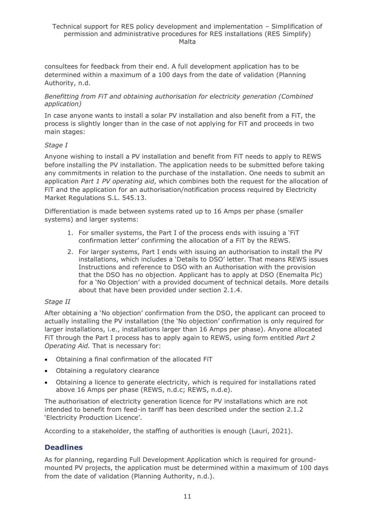consultees for feedback from their end. A full development application has to be determined within a maximum of a 100 days from the date of validation (Planning Authority, n.d.

#### *Benefitting from FiT and obtaining authorisation for electricity generation (Combined application)*

In case anyone wants to install a solar PV installation and also benefit from a FiT, the process is slightly longer than in the case of not applying for FiT and proceeds in two main stages:

#### *Stage I*

Anyone wishing to install a PV installation and benefit from FiT needs to apply to REWS before installing the PV installation. The application needs to be submitted before taking any commitments in relation to the purchase of the installation. One needs to submit an application *Part 1 PV operating aid*, which combines both the request for the allocation of FiT and the application for an authorisation/notification process required by Electricity Market Regulations S.L. 545.13.

Differentiation is made between systems rated up to 16 Amps per phase (smaller systems) and larger systems:

- 1. For smaller systems, the Part I of the process ends with issuing a 'FiT confirmation letter' confirming the allocation of a FiT by the REWS.
- 2. For larger systems, Part I ends with issuing an authorisation to install the PV installations, which includes a 'Details to DSO' letter. That means REWS issues Instructions and reference to DSO with an Authorisation with the provision that the DSO has no objection. Applicant has to apply at DSO (Enemalta Plc) for a 'No Objection' with a provided document of technical details. More details about that have been provided under section 2.1.4.

#### *Stage II*

After obtaining a 'No objection' confirmation from the DSO, the applicant can proceed to actually installing the PV installation (the 'No objection' confirmation is only required for larger installations, i.e., installations larger than 16 Amps per phase). Anyone allocated FiT through the Part I process has to apply again to REWS, using form entitled *Part 2 Operating Aid.* That is necessary for:

- Obtaining a final confirmation of the allocated FiT
- Obtaining a regulatory clearance
- Obtaining a licence to generate electricity, which is required for installations rated above 16 Amps per phase (REWS, n.d.c; REWS, n.d.e).

The authorisation of electricity generation licence for PV installations which are not intended to benefit from feed-in tariff has been described under the section 2.1.2 'Electricity Production Licence'.

According to a stakeholder, the staffing of authorities is enough (Lauri, 2021).

### **Deadlines**

As for planning, regarding Full Development Application which is required for groundmounted PV projects, the application must be determined within a maximum of 100 days from the date of validation (Planning Authority, n.d.).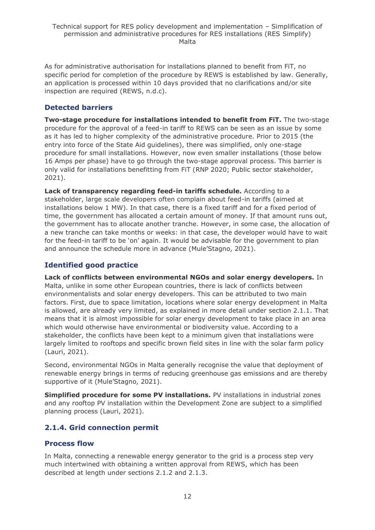As for administrative authorisation for installations planned to benefit from FiT, no specific period for completion of the procedure by REWS is established by law. Generally, an application is processed within 10 days provided that no clarifications and/or site inspection are required (REWS, n.d.c).

## **Detected barriers**

**Two-stage procedure for installations intended to benefit from FiT.** The two-stage procedure for the approval of a feed-in tariff to REWS can be seen as an issue by some as it has led to higher complexity of the administrative procedure. Prior to 2015 (the entry into force of the State Aid guidelines), there was simplified, only one-stage procedure for small installations. However, now even smaller installations (those below 16 Amps per phase) have to go through the two-stage approval process. This barrier is only valid for installations benefitting from FiT (RNP 2020; Public sector stakeholder, 2021).

**Lack of transparency regarding feed-in tariffs schedule.** According to a stakeholder, large scale developers often complain about feed-in tariffs (aimed at installations below 1 MW). In that case, there is a fixed tariff and for a fixed period of time, the government has allocated a certain amount of money. If that amount runs out, the government has to allocate another tranche. However, in some case, the allocation of a new tranche can take months or weeks: in that case, the developer would have to wait for the feed-in tariff to be 'on' again. It would be advisable for the government to plan and announce the schedule more in advance (Mule'Stagno, 2021).

# **Identified good practice**

**Lack of conflicts between environmental NGOs and solar energy developers.** In Malta, unlike in some other European countries, there is lack of conflicts between environmentalists and solar energy developers. This can be attributed to two main factors. First, due to space limitation, locations where solar energy development in Malta is allowed, are already very limited, as explained in more detail under section 2.1.1. That means that it is almost impossible for solar energy development to take place in an area which would otherwise have environmental or biodiversity value. According to a stakeholder, the conflicts have been kept to a minimum given that installations were largely limited to rooftops and specific brown field sites in line with the solar farm policy (Lauri, 2021).

Second, environmental NGOs in Malta generally recognise the value that deployment of renewable energy brings in terms of reducing greenhouse gas emissions and are thereby supportive of it (Mule'Stagno, 2021).

**Simplified procedure for some PV installations.** PV installations in industrial zones and any rooftop PV installation within the Development Zone are subject to a simplified planning process (Lauri, 2021).

# <span id="page-11-0"></span>**2.1.4. Grid connection permit**

### **Process flow**

In Malta, connecting a renewable energy generator to the grid is a process step very much intertwined with obtaining a written approval from REWS, which has been described at length under sections 2.1.2 and 2.1.3.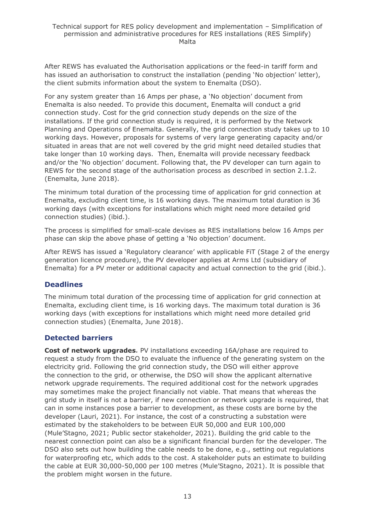After REWS has evaluated the Authorisation applications or the feed-in tariff form and has issued an authorisation to construct the installation (pending 'No objection' letter), the client submits information about the system to Enemalta (DSO).

For any system greater than 16 Amps per phase, a 'No objection' document from Enemalta is also needed. To provide this document, Enemalta will conduct a grid connection study. Cost for the grid connection study depends on the size of the installations. If the grid connection study is required, it is performed by the Network Planning and Operations of Enemalta. Generally, the grid connection study takes up to 10 working days. However, proposals for systems of very large generating capacity and/or situated in areas that are not well covered by the grid might need detailed studies that take longer than 10 working days. Then, Enemalta will provide necessary feedback and/or the 'No objection' document. Following that, the PV developer can turn again to REWS for the second stage of the authorisation process as described in section 2.1.2. (Enemalta, June 2018).

The minimum total duration of the processing time of application for grid connection at Enemalta, excluding client time, is 16 working days. The maximum total duration is 36 working days (with exceptions for installations which might need more detailed grid connection studies) (ibid.).

The process is simplified for small-scale devises as RES installations below 16 Amps per phase can skip the above phase of getting a 'No objection' document.

After REWS has issued a 'Regulatory clearance' with applicable FiT (Stage 2 of the energy generation licence procedure), the PV developer applies at Arms Ltd (subsidiary of Enemalta) for a PV meter or additional capacity and actual connection to the grid (ibid.).

# **Deadlines**

The minimum total duration of the processing time of application for grid connection at Enemalta, excluding client time, is 16 working days. The maximum total duration is 36 working days (with exceptions for installations which might need more detailed grid connection studies) (Enemalta, June 2018).

### **Detected barriers**

**Cost of network upgrades***.* PV installations exceeding 16A/phase are required to request a study from the DSO to evaluate the influence of the generating system on the electricity grid. Following the grid connection study, the DSO will either approve the connection to the grid, or otherwise, the DSO will show the applicant alternative network upgrade requirements. The required additional cost for the network upgrades may sometimes make the project financially not viable. That means that whereas the grid study in itself is not a barrier, if new connection or network upgrade is required, that can in some instances pose a barrier to development, as these costs are borne by the developer (Lauri, 2021). For instance, the cost of a constructing a substation were estimated by the stakeholders to be between EUR 50,000 and EUR 100,000 (Mule'Stagno, 2021; Public sector stakeholder, 2021). Building the grid cable to the nearest connection point can also be a significant financial burden for the developer. The DSO also sets out how building the cable needs to be done, e.g., setting out regulations for waterproofing etc, which adds to the cost. A stakeholder puts an estimate to building the cable at EUR 30,000-50,000 per 100 metres (Mule'Stagno, 2021). It is possible that the problem might worsen in the future.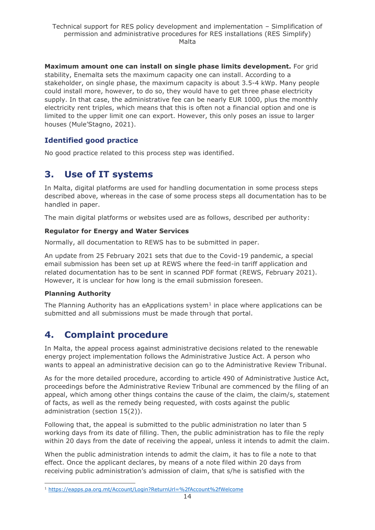**Maximum amount one can install on single phase limits development.** For grid stability, Enemalta sets the maximum capacity one can install. According to a stakeholder, on single phase, the maximum capacity is about 3.5-4 kWp. Many people could install more, however, to do so, they would have to get three phase electricity supply. In that case, the administrative fee can be nearly EUR 1000, plus the monthly electricity rent triples, which means that this is often not a financial option and one is limited to the upper limit one can export. However, this only poses an issue to larger houses (Mule'Stagno, 2021).

# **Identified good practice**

No good practice related to this process step was identified.

# <span id="page-13-0"></span>**3. Use of IT systems**

In Malta, digital platforms are used for handling documentation in some process steps described above, whereas in the case of some process steps all documentation has to be handled in paper.

The main digital platforms or websites used are as follows, described per authority:

#### **Regulator for Energy and Water Services**

Normally, all documentation to REWS has to be submitted in paper.

An update from 25 February 2021 sets that due to the Covid-19 pandemic, a special email submission has been set up at REWS where the feed-in tariff application and related documentation has to be sent in scanned PDF format (REWS, February 2021). However, it is unclear for how long is the email submission foreseen.

### **Planning Authority**

The Planning Authority has an eApplications system<sup>1</sup> in place where applications can be submitted and all submissions must be made through that portal.

# <span id="page-13-1"></span>**4. Complaint procedure**

In Malta, the appeal process against administrative decisions related to the renewable energy project implementation follows the Administrative Justice Act. A person who wants to appeal an administrative decision can go to the Administrative Review Tribunal.

As for the more detailed procedure, according to article 490 of Administrative Justice Act, proceedings before the Administrative Review Tribunal are commenced by the filing of an appeal, which among other things contains the cause of the claim, the claim/s, statement of facts, as well as the remedy being requested, with costs against the public administration (section 15(2)).

Following that, the appeal is submitted to the public administration no later than 5 working days from its date of filling. Then, the public administration has to file the reply within 20 days from the date of receiving the appeal, unless it intends to admit the claim.

When the public administration intends to admit the claim, it has to file a note to that effect. Once the applicant declares, by means of a note filed within 20 days from receiving public administration's admission of claim, that s/he is satisfied with the

<sup>1</sup> <https://eapps.pa.org.mt/Account/Login?ReturnUrl=%2fAccount%2fWelcome>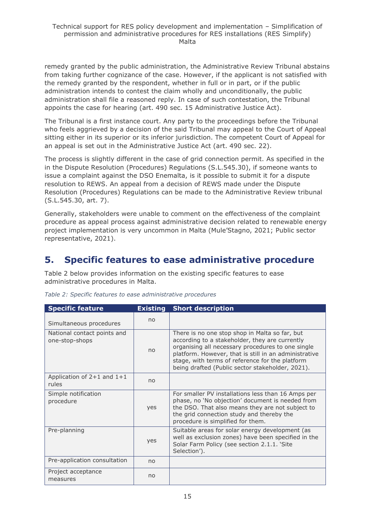remedy granted by the public administration, the Administrative Review Tribunal abstains from taking further cognizance of the case. However, if the applicant is not satisfied with the remedy granted by the respondent, whether in full or in part, or if the public administration intends to contest the claim wholly and unconditionally, the public administration shall file a reasoned reply. In case of such contestation, the Tribunal appoints the case for hearing (art. 490 sec. 15 Administrative Justice Act).

The Tribunal is a first instance court. Any party to the proceedings before the Tribunal who feels aggrieved by a decision of the said Tribunal may appeal to the Court of Appeal sitting either in its superior or its inferior jurisdiction. The competent Court of Appeal for an appeal is set out in the Administrative Justice Act (art. 490 sec. 22).

The process is slightly different in the case of grid connection permit. As specified in the in the Dispute Resolution (Procedures) Regulations (S.L.545.30), if someone wants to issue a complaint against the DSO Enemalta, is it possible to submit it for a dispute resolution to REWS. An appeal from a decision of REWS made under the Dispute Resolution (Procedures) Regulations can be made to the Administrative Review tribunal (S.L.545.30, art. 7).

Generally, stakeholders were unable to comment on the effectiveness of the complaint procedure as appeal process against administrative decision related to renewable energy project implementation is very uncommon in Malta (Mule'Stagno, 2021; Public sector representative, 2021).

# <span id="page-14-0"></span>**5. Specific features to ease administrative procedure**

Table 2 below provides information on the existing specific features to ease administrative procedures in Malta.

<span id="page-14-1"></span>

| <b>Specific feature</b>                       | <b>Existing</b> | <b>Short description</b>                                                                                                                                                                                                                                                                                              |
|-----------------------------------------------|-----------------|-----------------------------------------------------------------------------------------------------------------------------------------------------------------------------------------------------------------------------------------------------------------------------------------------------------------------|
| Simultaneous procedures                       | n <sub>0</sub>  |                                                                                                                                                                                                                                                                                                                       |
| National contact points and<br>one-stop-shops | no              | There is no one stop shop in Malta so far, but<br>according to a stakeholder, they are currently<br>organising all necessary procedures to one single<br>platform. However, that is still in an administrative<br>stage, with terms of reference for the platform<br>being drafted (Public sector stakeholder, 2021). |
| Application of $2+1$ and $1+1$<br>rules       | no              |                                                                                                                                                                                                                                                                                                                       |
| Simple notification<br>procedure              | yes             | For smaller PV installations less than 16 Amps per<br>phase, no 'No objection' document is needed from<br>the DSO. That also means they are not subject to<br>the grid connection study and thereby the<br>procedure is simplified for them.                                                                          |
| Pre-planning                                  | yes             | Suitable areas for solar energy development (as<br>well as exclusion zones) have been specified in the<br>Solar Farm Policy (see section 2.1.1. 'Site<br>Selection').                                                                                                                                                 |
| Pre-application consultation                  | no              |                                                                                                                                                                                                                                                                                                                       |
| Project acceptance<br>measures                | no              |                                                                                                                                                                                                                                                                                                                       |

*Table 2: Specific features to ease administrative procedures*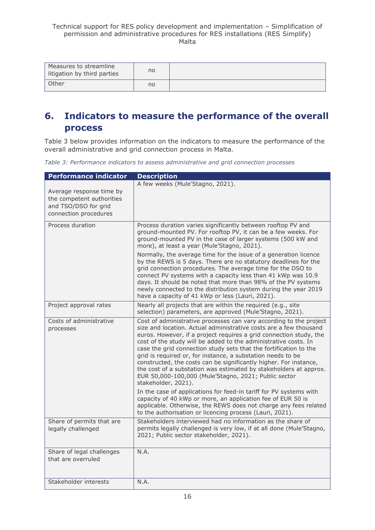| Measures to streamline<br>litigation by third parties | no |  |
|-------------------------------------------------------|----|--|
| Other                                                 | no |  |

# <span id="page-15-0"></span>**6. Indicators to measure the performance of the overall process**

Table 3 below provides information on the indicators to measure the performance of the overall administrative and grid connection process in Malta.

*Table 3: Performance indicators to assess administrative and grid connection processes*

<span id="page-15-1"></span>

| <b>Performance indicator</b>                                                                           | <b>Description</b>                                                                                                                                                                                                                                                                                                                                                                                                                                                                                                                                                                                                                                                                                                                                                                 |
|--------------------------------------------------------------------------------------------------------|------------------------------------------------------------------------------------------------------------------------------------------------------------------------------------------------------------------------------------------------------------------------------------------------------------------------------------------------------------------------------------------------------------------------------------------------------------------------------------------------------------------------------------------------------------------------------------------------------------------------------------------------------------------------------------------------------------------------------------------------------------------------------------|
| Average response time by<br>the competent authorities<br>and TSO/DSO for grid<br>connection procedures | A few weeks (Mule'Stagno, 2021).                                                                                                                                                                                                                                                                                                                                                                                                                                                                                                                                                                                                                                                                                                                                                   |
| Process duration                                                                                       | Process duration varies significantly between rooftop PV and<br>ground-mounted PV. For rooftop PV, it can be a few weeks. For<br>ground-mounted PV in the case of larger systems (500 kW and<br>more), at least a year (Mule'Stagno, 2021).<br>Normally, the average time for the issue of a generation licence<br>by the REWS is 5 days. There are no statutory deadlines for the<br>grid connection procedures. The average time for the DSO to<br>connect PV systems with a capacity less than 41 kWp was 10.9<br>days. It should be noted that more than 98% of the PV systems<br>newly connected to the distribution system during the year 2019<br>have a capacity of 41 kWp or less (Lauri, 2021).                                                                          |
| Project approval rates                                                                                 | Nearly all projects that are within the required (e.g., site<br>selection) parameters, are approved (Mule'Stagno, 2021).                                                                                                                                                                                                                                                                                                                                                                                                                                                                                                                                                                                                                                                           |
| Costs of administrative<br>processes                                                                   | Cost of administrative processes can vary according to the project<br>size and location. Actual administrative costs are a few thousand<br>euros. However, if a project requires a grid connection study, the<br>cost of the study will be added to the administrative costs. In<br>case the grid connection study sets that the fortification to the<br>grid is required or, for instance, a substation needs to be<br>constructed, the costs can be significantly higher. For instance,<br>the cost of a substation was estimated by stakeholders at approx.<br>EUR 50,000-100,000 (Mule'Stagno, 2021; Public sector<br>stakeholder, 2021).<br>In the case of applications for feed-in tariff for PV systems with<br>capacity of 40 kWp or more, an application fee of EUR 50 is |
|                                                                                                        | applicable. Otherwise, the REWS does not charge any fees related<br>to the authorisation or licencing process (Lauri, 2021).                                                                                                                                                                                                                                                                                                                                                                                                                                                                                                                                                                                                                                                       |
| Share of permits that are<br>legally challenged                                                        | Stakeholders interviewed had no information as the share of<br>permits legally challenged is very low, if at all done (Mule'Stagno,<br>2021; Public sector stakeholder, 2021).                                                                                                                                                                                                                                                                                                                                                                                                                                                                                                                                                                                                     |
| Share of legal challenges<br>that are overruled                                                        | N.A.                                                                                                                                                                                                                                                                                                                                                                                                                                                                                                                                                                                                                                                                                                                                                                               |
| Stakeholder interests                                                                                  | N.A.                                                                                                                                                                                                                                                                                                                                                                                                                                                                                                                                                                                                                                                                                                                                                                               |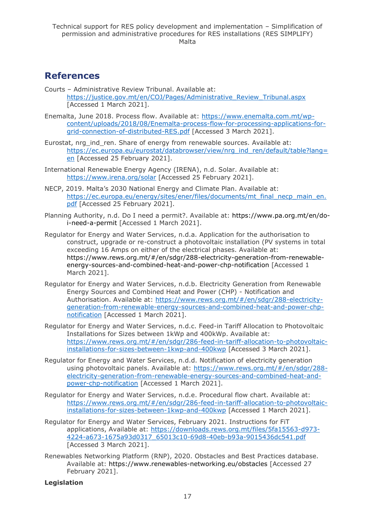# <span id="page-16-0"></span>**References**

- Courts Administrative Review Tribunal. Available at: [https://justice.gov.mt/en/COJ/Pages/Administrative\\_Review\\_Tribunal.aspx](https://justice.gov.mt/en/COJ/Pages/Administrative_Review_Tribunal.aspx) [Accessed 1 March 2021].
- Enemalta, June 2018. Process flow. Available at: [https://www.enemalta.com.mt/wp](https://www.enemalta.com.mt/wp-content/uploads/2018/08/Enemalta-process-flow-for-processing-applications-for-grid-connection-of-distributed-RES.pdf)[content/uploads/2018/08/Enemalta-process-flow-for-processing-applications-for](https://www.enemalta.com.mt/wp-content/uploads/2018/08/Enemalta-process-flow-for-processing-applications-for-grid-connection-of-distributed-RES.pdf)[grid-connection-of-distributed-RES.pdf](https://www.enemalta.com.mt/wp-content/uploads/2018/08/Enemalta-process-flow-for-processing-applications-for-grid-connection-of-distributed-RES.pdf) [Accessed 3 March 2021].
- Eurostat, nrg\_ind\_ren. Share of energy from renewable sources. Available at: [https://ec.europa.eu/eurostat/databrowser/view/nrg\\_ind\\_ren/default/table?lang=](https://ec.europa.eu/eurostat/databrowser/view/nrg_ind_ren/default/table?lang=en) [en](https://ec.europa.eu/eurostat/databrowser/view/nrg_ind_ren/default/table?lang=en) [Accessed 25 February 2021].
- International Renewable Energy Agency (IRENA), n.d. Solar. Available at: <https://www.irena.org/solar> [Accessed 25 February 2021].
- NECP, 2019. Malta's 2030 National Energy and Climate Plan. Available at: [https://ec.europa.eu/energy/sites/ener/files/documents/mt\\_final\\_necp\\_main\\_en.](https://ec.europa.eu/energy/sites/ener/files/documents/mt_final_necp_main_en.pdf) [pdf](https://ec.europa.eu/energy/sites/ener/files/documents/mt_final_necp_main_en.pdf) [Accessed 25 February 2021].
- Planning Authority, n.d. Do I need a permit?. Available at: [https://www.pa.org.mt/en/do](https://www.pa.org.mt/en/do-i-need-a-permit)[i-need-a-permit](https://www.pa.org.mt/en/do-i-need-a-permit) [Accessed 1 March 2021].
- Regulator for Energy and Water Services, n.d.a. Application for the authorisation to construct, upgrade or re-construct a photovoltaic installation (PV systems in total exceeding 16 Amps on either of the electrical phases. Available at: [https://www.rews.org.mt/#/en/sdgr/288-electricity-generation-from-renewable](https://www.rews.org.mt/#/en/sdgr/288-electricity-generation-from-renewable-energy-sources-and-combined-heat-and-power-chp-notification)[energy-sources-and-combined-heat-and-power-chp-notification](https://www.rews.org.mt/#/en/sdgr/288-electricity-generation-from-renewable-energy-sources-and-combined-heat-and-power-chp-notification) [Accessed 1 March 2021].
- Regulator for Energy and Water Services, n.d.b. Electricity Generation from Renewable Energy Sources and Combined Heat and Power (CHP) - Notification and Authorisation. Available at: [https://www.rews.org.mt/#/en/sdgr/288-electricity](https://www.rews.org.mt/#/en/sdgr/288-electricity-generation-from-renewable-energy-sources-and-combined-heat-and-power-chp-notification)[generation-from-renewable-energy-sources-and-combined-heat-and-power-chp](https://www.rews.org.mt/#/en/sdgr/288-electricity-generation-from-renewable-energy-sources-and-combined-heat-and-power-chp-notification)[notification](https://www.rews.org.mt/#/en/sdgr/288-electricity-generation-from-renewable-energy-sources-and-combined-heat-and-power-chp-notification) [Accessed 1 March 2021].
- Regulator for Energy and Water Services, n.d.c. Feed-in Tariff Allocation to Photovoltaic Installations for Sizes between 1kWp and 400kWp. Available at: [https://www.rews.org.mt/#/en/sdgr/286-feed-in-tariff-allocation-to-photovoltaic](https://www.rews.org.mt/#/en/sdgr/286-feed-in-tariff-allocation-to-photovoltaic-installations-for-sizes-between-1kwp-and-400kwp)[installations-for-sizes-between-1kwp-and-400kwp](https://www.rews.org.mt/#/en/sdgr/286-feed-in-tariff-allocation-to-photovoltaic-installations-for-sizes-between-1kwp-and-400kwp) [Accessed 3 March 2021].
- Regulator for Energy and Water Services, n.d.d. Notification of electricity generation using photovoltaic panels. Available at: [https://www.rews.org.mt/#/en/sdgr/288](https://www.rews.org.mt/#/en/sdgr/288-electricity-generation-from-renewable-energy-sources-and-combined-heat-and-power-chp-notification) [electricity-generation-from-renewable-energy-sources-and-combined-heat-and](https://www.rews.org.mt/#/en/sdgr/288-electricity-generation-from-renewable-energy-sources-and-combined-heat-and-power-chp-notification)[power-chp-notification](https://www.rews.org.mt/#/en/sdgr/288-electricity-generation-from-renewable-energy-sources-and-combined-heat-and-power-chp-notification) [Accessed 1 March 2021].
- Regulator for Energy and Water Services, n.d.e. Procedural flow chart. Available at: [https://www.rews.org.mt/#/en/sdgr/286-feed-in-tariff-allocation-to-photovoltaic](https://www.rews.org.mt/#/en/sdgr/286-feed-in-tariff-allocation-to-photovoltaic-installations-for-sizes-between-1kwp-and-400kwp)[installations-for-sizes-between-1kwp-and-400kwp](https://www.rews.org.mt/#/en/sdgr/286-feed-in-tariff-allocation-to-photovoltaic-installations-for-sizes-between-1kwp-and-400kwp) [Accessed 1 March 2021].
- Regulator for Energy and Water Services, February 2021. Instructions for FiT applications, Available at: [https://downloads.rews.org.mt/files/5fa15563-d973-](https://downloads.rews.org.mt/files/5fa15563-d973-4224-a673-1675a93d0317_65013c10-69d8-40eb-b93a-9015436dc541.pdf) [4224-a673-1675a93d0317\\_65013c10-69d8-40eb-b93a-9015436dc541.pdf](https://downloads.rews.org.mt/files/5fa15563-d973-4224-a673-1675a93d0317_65013c10-69d8-40eb-b93a-9015436dc541.pdf) [Accessed 3 March 2021].
- Renewables Networking Platform (RNP), 2020. Obstacles and Best Practices database. Available at:<https://www.renewables-networking.eu/obstacles> [Accessed 27 February 2021].

#### **Legislation**